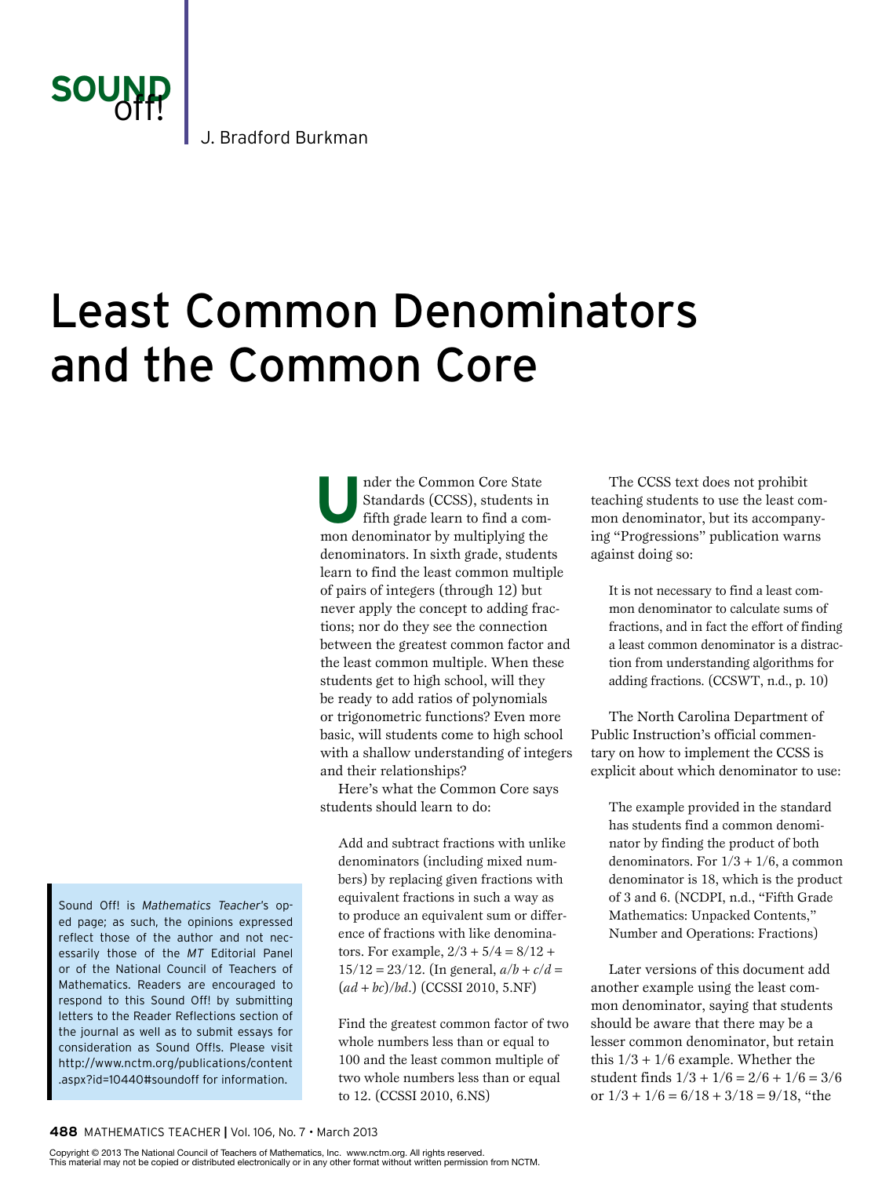

J. Bradford Burkman

## Least Common Denominators and the Common Core

**U**nder the Common Core State<br>Standards (CCSS), students in<br>fifth grade learn to find a com Standards (CCSS), students in fifth grade learn to find a common denominator by multiplying the denominators. In sixth grade, students learn to find the least common multiple of pairs of integers (through 12) but never apply the concept to adding fractions; nor do they see the connection between the greatest common factor and the least common multiple. When these students get to high school, will they be ready to add ratios of polynomials or trigonometric functions? Even more basic, will students come to high school with a shallow understanding of integers and their relationships?

Here's what the Common Core says students should learn to do:

Add and subtract fractions with unlike denominators (including mixed numbers) by replacing given fractions with equivalent fractions in such a way as to produce an equivalent sum or difference of fractions with like denominators. For example,  $2/3 + 5/4 = 8/12 +$  $15/12 = 23/12$ . (In general,  $a/b + c/d =$ (*ad* + *bc*)/*bd*.) (CCSSI 2010, 5.NF)

Find the greatest common factor of two whole numbers less than or equal to 100 and the least common multiple of two whole numbers less than or equal to 12. (CCSSI 2010, 6.NS)

The CCSS text does not prohibit teaching students to use the least common denominator, but its accompanying "Progressions" publication warns against doing so:

It is not necessary to find a least common denominator to calculate sums of fractions, and in fact the effort of finding a least common denominator is a distraction from understanding algorithms for adding fractions. (CCSWT, n.d., p. 10)

The North Carolina Department of Public Instruction's official commentary on how to implement the CCSS is explicit about which denominator to use:

The example provided in the standard has students find a common denominator by finding the product of both denominators. For  $1/3 + 1/6$ , a common denominator is 18, which is the product of 3 and 6. (NCDPI, n.d., "Fifth Grade Mathematics: Unpacked Contents," Number and Operations: Fractions)

Later versions of this document add another example using the least common denominator, saying that students should be aware that there may be a lesser common denominator, but retain this  $1/3 + 1/6$  example. Whether the student finds  $1/3 + 1/6 = 2/6 + 1/6 = 3/6$ or  $1/3 + 1/6 = 6/18 + 3/18 = 9/18$ , "the

Sound Off! is *Mathematics Teacher*'s oped page; as such, the opinions expressed reflect those of the author and not necessarily those of the *MT* Editorial Panel or of the National Council of Teachers of Mathematics. Readers are encouraged to respond to this Sound Off! by submitting letters to the Reader Reflections section of the journal as well as to submit essays for consideration as Sound Off!s. Please visit http://www.nctm.org/publications/content .aspx?id=10440#soundoff for information.

Copyright © 2013 The National Council of Teachers of Mathematics, Inc. www.nctm.org. All rights reserved. This material may not be copied or distributed electronically or in any other format without written permission from NCTM.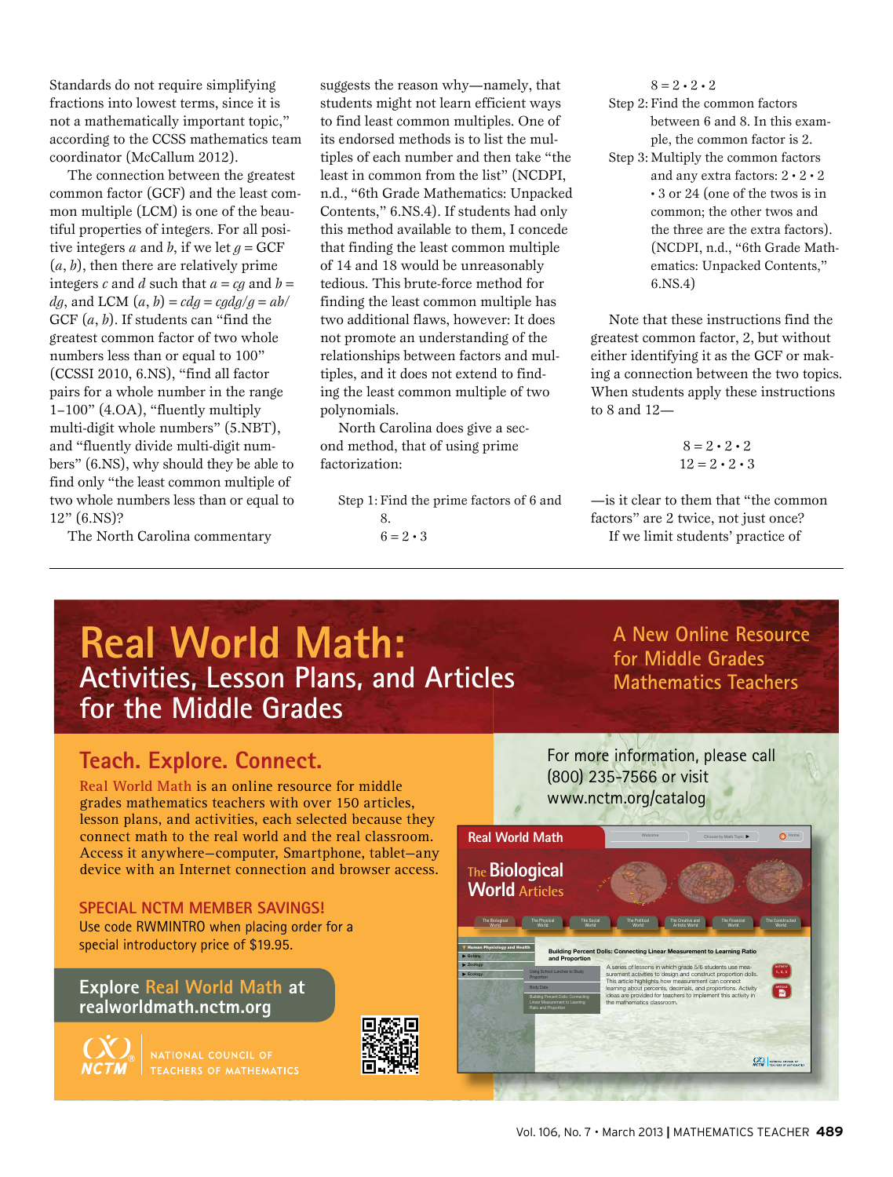Standards do not require simplifying fractions into lowest terms, since it is not a mathematically important topic," according to the CCSS mathematics team coordinator (McCallum 2012).

The connection between the greatest common factor (GCF) and the least common multiple (LCM) is one of the beautiful properties of integers. For all positive integers *a* and *b*, if we let  $q = GCF$ (*a*, *b*), then there are relatively prime integers *c* and *d* such that  $a = cg$  and  $b =$ *dg*, and LCM  $(a, b) = cdg = cgdg/g = ab/$ GCF (*a*, *b*). If students can "find the greatest common factor of two whole numbers less than or equal to 100" (CCSSI 2010, 6.NS), "find all factor pairs for a whole number in the range 1–100" (4.OA), "fluently multiply multi-digit whole numbers" (5.NBT), and "fluently divide multi-digit numbers" (6.NS), why should they be able to find only "the least common multiple of two whole numbers less than or equal to 12" (6.NS)?

The North Carolina commentary

suggests the reason why—namely, that students might not learn efficient ways to find least common multiples. One of its endorsed methods is to list the multiples of each number and then take "the least in common from the list" (NCDPI, n.d., "6th Grade Mathematics: Unpacked Contents," 6.NS.4). If students had only this method available to them, I concede that finding the least common multiple of 14 and 18 would be unreasonably tedious. This brute-force method for finding the least common multiple has two additional flaws, however: It does not promote an understanding of the relationships between factors and multiples, and it does not extend to finding the least common multiple of two polynomials.

North Carolina does give a second method, that of using prime factorization:

Step 1: Find the prime factors of 6 and 8.  $6 = 2 \cdot 3$ 

```
8 = 2 \cdot 2 \cdot 2
```
- Step 2: Find the common factors between 6 and 8. In this example, the common factor is 2. Step 3: Multiply the common factors
- and any extra factors: 2 2 2 • 3 or 24 (one of the twos is in common; the other twos and the three are the extra factors). (NCDPI, n.d., "6th Grade Mathematics: Unpacked Contents," 6.NS.4)

Note that these instructions find the greatest common factor, 2, but without either identifying it as the GCF or making a connection between the two topics. When students apply these instructions to 8 and 12—

$$
8 = 2 \cdot 2 \cdot 2
$$
  

$$
12 = 2 \cdot 2 \cdot 3
$$

—is it clear to them that "the common factors" are 2 twice, not just once? If we limit students' practice of

## **Real World Math: Activities, Lesson Plans, and Articles for the Middle Grades**

**A New Online Resource for Middle Grades Mathematics Teachers**

#### **Teach. Explore. Connect.**

**Real World Math** is an online resource for middle grades mathematics teachers with over 150 articles, lesson plans, and activities, each selected because they connect math to the real world and the real classroom. Access it anywhere—computer, Smartphone, tablet—any device with an Internet connection and browser access.

**SPECIAL NCTM MEMBER SAVINGS!**  Use code RWMINTRO when placing order for a special introductory price of \$19.95.

**Explore Real World Math at realworldmath.nctm.org**



**EACHERS OF MATHEMATICS** 



For more information, please call (800) 235-7566 or visit www.nctm.org/catalog

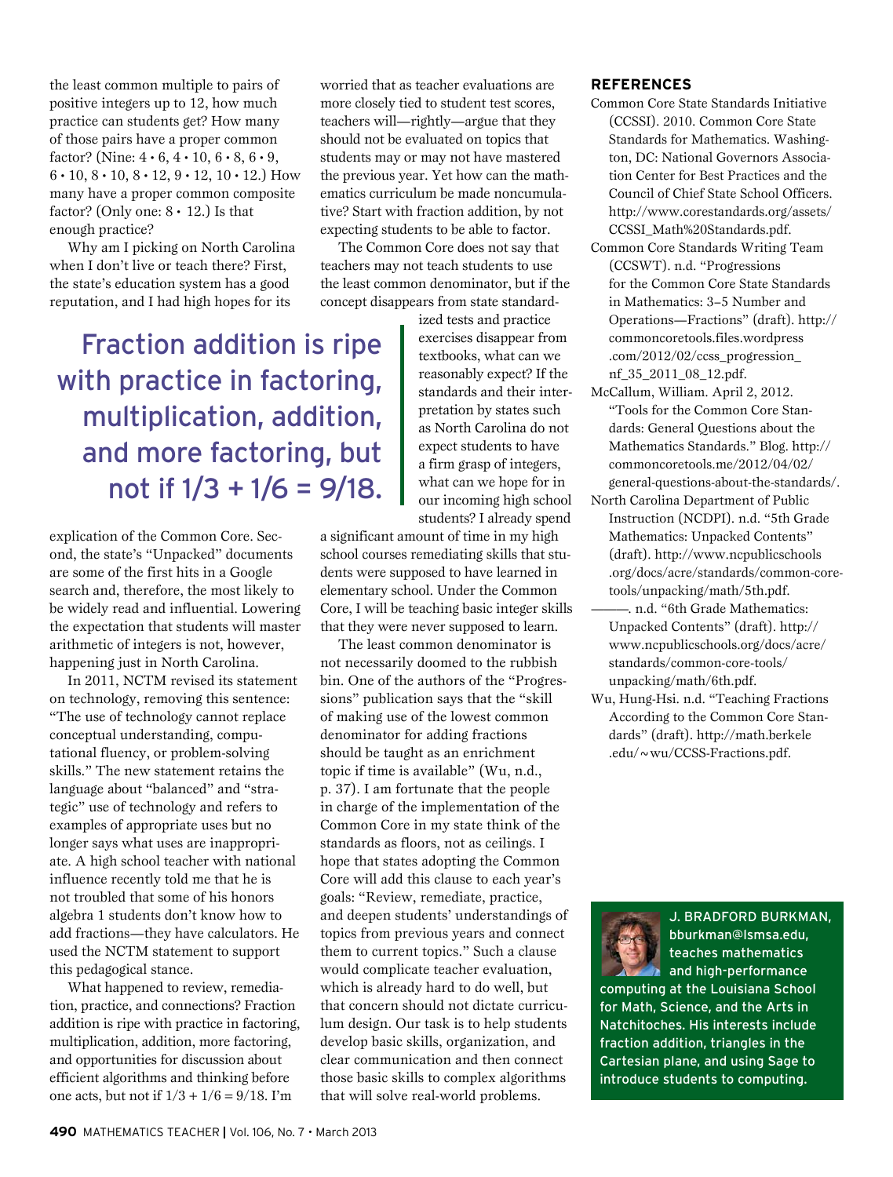the least common multiple to pairs of positive integers up to 12, how much practice can students get? How many of those pairs have a proper common factor? (Nine:  $4 \cdot 6$ ,  $4 \cdot 10$ ,  $6 \cdot 8$ ,  $6 \cdot 9$ ,  $6 \cdot 10, 8 \cdot 10, 8 \cdot 12, 9 \cdot 12, 10 \cdot 12$ . How many have a proper common composite factor? (Only one:  $8 \cdot 12$ .) Is that enough practice?

Why am I picking on North Carolina when I don't live or teach there? First, the state's education system has a good reputation, and I had high hopes for its

Fraction addition is ripe with practice in factoring, multiplication, addition, and more factoring, but not if  $1/3 + 1/6 = 9/18$ .

explication of the Common Core. Second, the state's "Unpacked" documents are some of the first hits in a Google search and, therefore, the most likely to be widely read and influential. Lowering the expectation that students will master arithmetic of integers is not, however, happening just in North Carolina.

In 2011, NCTM revised its statement on technology, removing this sentence: "The use of technology cannot replace conceptual understanding, computational fluency, or problem-solving skills." The new statement retains the language about "balanced" and "strategic" use of technology and refers to examples of appropriate uses but no longer says what uses are inappropriate. A high school teacher with national influence recently told me that he is not troubled that some of his honors algebra 1 students don't know how to add fractions—they have calculators. He used the NCTM statement to support this pedagogical stance.

What happened to review, remediation, practice, and connections? Fraction addition is ripe with practice in factoring, multiplication, addition, more factoring, and opportunities for discussion about efficient algorithms and thinking before one acts, but not if  $1/3 + 1/6 = 9/18$ . I'm

worried that as teacher evaluations are more closely tied to student test scores, teachers will—rightly—argue that they should not be evaluated on topics that students may or may not have mastered the previous year. Yet how can the mathematics curriculum be made noncumulative? Start with fraction addition, by not expecting students to be able to factor.

The Common Core does not say that teachers may not teach students to use the least common denominator, but if the concept disappears from state standard-

> ized tests and practice exercises disappear from textbooks, what can we reasonably expect? If the standards and their interpretation by states such as North Carolina do not expect students to have a firm grasp of integers, what can we hope for in our incoming high school students? I already spend

a significant amount of time in my high school courses remediating skills that students were supposed to have learned in elementary school. Under the Common Core, I will be teaching basic integer skills that they were never supposed to learn.

The least common denominator is not necessarily doomed to the rubbish bin. One of the authors of the "Progressions" publication says that the "skill of making use of the lowest common denominator for adding fractions should be taught as an enrichment topic if time is available" (Wu, n.d., p. 37). I am fortunate that the people in charge of the implementation of the Common Core in my state think of the standards as floors, not as ceilings. I hope that states adopting the Common Core will add this clause to each year's goals: "Review, remediate, practice, and deepen students' understandings of topics from previous years and connect them to current topics." Such a clause would complicate teacher evaluation, which is already hard to do well, but that concern should not dictate curriculum design. Our task is to help students develop basic skills, organization, and clear communication and then connect those basic skills to complex algorithms that will solve real-world problems.

#### **REFEREnCES**

- Common Core State Standards Initiative (CCSSI). 2010. Common Core State Standards for Mathematics. Washington, DC: National Governors Association Center for Best Practices and the Council of Chief State School Officers. http://www.corestandards.org/assets/ CCSSI\_Math%20Standards.pdf.
- Common Core Standards Writing Team (CCSWT). n.d. "Progressions for the Common Core State Standards in Mathematics: 3–5 Number and Operations—Fractions" (draft). http:// commoncoretools.files.wordpress .com/2012/02/ccss\_progression\_ nf\_35\_2011\_08\_12.pdf.
- McCallum, William. April 2, 2012. "Tools for the Common Core Standards: General Questions about the Mathematics Standards." Blog. http:// commoncoretools.me/2012/04/02/ general-questions-about-the-standards/.
- North Carolina Department of Public Instruction (NCDPI). n.d. "5th Grade Mathematics: Unpacked Contents" (draft). http://www.ncpublicschools .org/docs/acre/standards/common-coretools/unpacking/math/5th.pdf.
	- ———. n.d. "6th Grade Mathematics: Unpacked Contents" (draft). http:// www.ncpublicschools.org/docs/acre/ standards/common-core-tools/ unpacking/math/6th.pdf.
- Wu, Hung-Hsi. n.d. "Teaching Fractions According to the Common Core Standards" (draft). http://math.berkele .edu/~wu/CCSS-Fractions.pdf.



J. BRADFORD BURKMAN, bburkman@lsmsa.edu, teaches mathematics **A** and high-performance

computing at the Louisiana School for Math, Science, and the Arts in Natchitoches. His interests include fraction addition, triangles in the Cartesian plane, and using Sage to introduce students to computing.